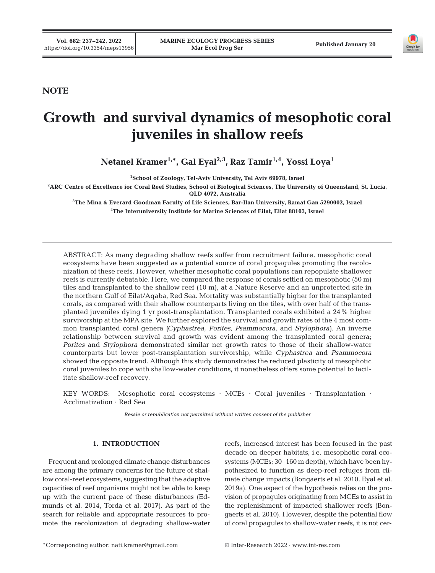

**NOTE**

# **Growth and survival dynamics of mesophotic coral juveniles in shallow reefs**

Netanel Kramer<sup>1,\*</sup>, Gal Eyal<sup>2,3</sup>, Raz Tamir<sup>1,4</sup>, Yossi Loya<sup>1</sup>

**1 School of Zoology, Tel-Aviv University, Tel Aviv 69978, Israel**

**2 ARC Centre of Excellence for Coral Reef Studies, School of Biological Sciences, The University of Queensland, St. Lucia,** 

**QLD 4072, Australia**

**3 The Mina & Everard Goodman Faculty of Life Sciences, Bar-Ilan University, Ramat Gan 5290002, Israel 4 The Interuniversity Institute for Marine Sciences of Eilat, Eilat 88103, Israel**

ABSTRACT: As many degrading shallow reefs suffer from recruitment failure, mesophotic coral ecosystems have been suggested as a potential source of coral propagules promoting the recolonization of these reefs. However, whether mesophotic coral populations can repopulate shallower reefs is currently debatable. Here, we compared the response of corals settled on mesophotic (50 m) tiles and transplanted to the shallow reef (10 m), at a Nature Reserve and an unprotected site in the northern Gulf of Eilat/Aqaba, Red Sea. Mortality was substantially higher for the transplanted corals, as compared with their shallow counterparts living on the tiles, with over half of the transplanted juveniles dying 1 yr post-transplantation. Transplanted corals exhibited a 24% higher survivorship at the MPA site. We further explored the survival and growth rates of the 4 most common transplanted coral genera *(Cyphastrea, Porites, Psammocora*, and *Stylophora)*. An inverse relationship between survival and growth was evident among the transplanted coral genera; *Porites* and *Stylophora* demonstrated similar net growth rates to those of their shallow-water counterparts but lower post-transplantation survivorship, while *Cyphastrea* and *Psammocora* showed the opposite trend. Although this study demonstrates the reduced plasticity of mesophotic coral juveniles to cope with shallow-water conditions, it nonetheless offers some potential to facilitate shallow-reef recovery.

KEY WORDS: Mesophotic coral ecosystems · MCEs · Coral juveniles · Transplantation · Acclimatization · Red Sea

*Resale or republication not permitted without written consent of the publisher*

## **1. INTRODUCTION**

Frequent and prolonged climate change disturbances are among the primary concerns for the future of shallow coral-reef ecosystems, suggesting that the adaptive capacities of reef organisms might not be able to keep up with the current pace of these disturbances (Edmunds et al. 2014, Torda et al. 2017). As part of the search for reliable and appropriate resources to promote the recolonization of degrading shallow-water reefs, increased interest has been focused in the past decade on deeper habitats, i.e. mesophotic coral ecosystems (MCEs; 30−160 m depth), which have been hypothesized to function as deep-reef refuges from climate change impacts (Bongaerts et al. 2010, Eyal et al. 2019a). One aspect of the hypothesis relies on the provision of propagules originating from MCEs to assist in the replenishment of impacted shallower reefs (Bongaerts et al. 2010). However, despite the potential flow of coral propagules to shallow-water reefs, it is not cer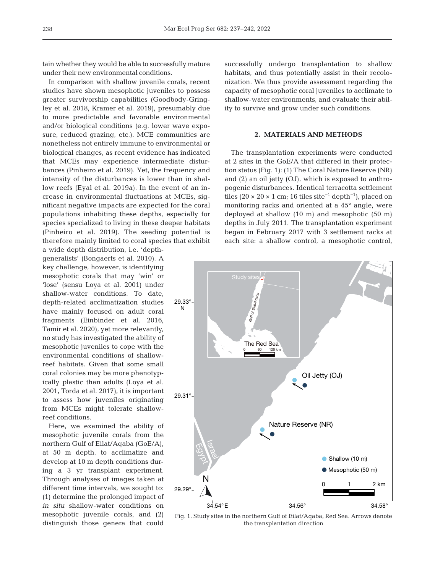tain whether they would be able to successfully mature under their new environmental conditions.

In comparison with shallow juvenile corals, recent studies have shown mesophotic juveniles to possess greater survivorship capabilities (Goodbody-Gringley et al. 2018, Kramer et al. 2019), presumably due to more predictable and favorable environmental and/or biological conditions (e.g. lower wave exposure, reduced grazing, etc.). MCE communities are nonetheless not entirely immune to environmental or biological changes, as recent evidence has indicated that MCEs may experience intermediate disturbances (Pinheiro et al. 2019). Yet, the frequency and intensity of the disturbances is lower than in shallow reefs (Eyal et al. 2019a). In the event of an increase in environmental fluctuations at MCEs, significant negative impacts are expected for the coral populations inhabiting these depths, especially for species specialized to living in these deeper habitats (Pinheiro et al. 2019). The seeding potential is therefore mainly limited to coral species that exhibit

a wide depth distribution, i.e. 'depthgeneralists' (Bongaerts et al. 2010). A key challenge, however, is identifying mesophotic corals that may 'win' or 'lose' (sensu Loya et al. 2001) under shallow-water conditions. To date, depth-related acclimatization studies have mainly focused on adult coral fragments (Einbinder et al. 2016, Tamir et al. 2020), yet more relevantly, no study has investigated the ability of mesophotic juveniles to cope with the environmental conditions of shallowreef habitats. Given that some small coral colonies may be more phenotypically plastic than adults (Loya et al. 2001, Torda et al. 2017), it is important to assess how juveniles originating from MCEs might tolerate shallowreef conditions.

Here, we examined the ability of mesophotic juvenile corals from the northern Gulf of Eilat/Aqaba (GoE/A), at 50 m depth, to acclimatize and develop at 10 m depth conditions during a 3 yr transplant experiment. Through analyses of images taken at different time intervals, we sought to: (1) determine the prolonged impact of *in situ* shallow-water conditions on mesophotic juvenile corals, and (2) distinguish those genera that could

successfully undergo transplantation to shallow habitats, and thus potentially assist in their recolonization. We thus provide assessment regarding the capacity of mesophotic coral juveniles to acclimate to shallow-water environments, and evaluate their ability to survive and grow under such conditions.

## **2. MATERIALS AND METHODS**

The transplantation experiments were conducted at 2 sites in the GoE/A that differed in their protection status (Fig. 1): (1) The Coral Nature Reserve (NR) and (2) an oil jetty (OJ), which is exposed to anthropogenic disturbances. Identical terracotta settlement tiles (20 × 20 × 1 cm; 16 tiles site<sup>-1</sup> depth<sup>-1</sup>), placed on monitoring racks and oriented at a 45° angle, were deployed at shallow (10 m) and mesophotic (50 m) depths in July 2011. The transplantation experiment began in February 2017 with 3 settlement racks at each site: a shallow control, a mesophotic control,



Fig. 1. Study sites in the northern Gulf of Eilat/Aqaba, Red Sea. Arrows denote the transplantation direction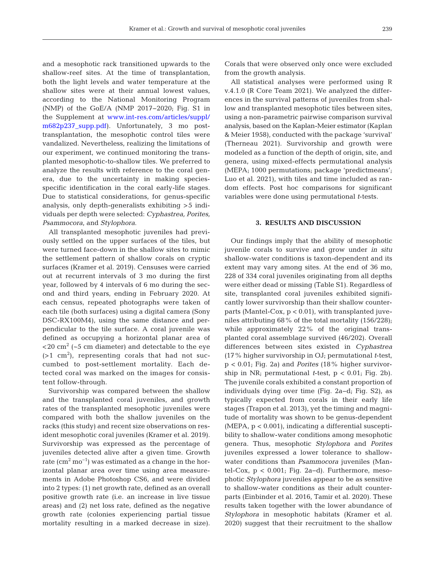and a mesophotic rack transitioned upwards to the shallow-reef sites. At the time of transplantation, both the light levels and water temperature at the shallow sites were at their annual lowest values, according to the National Monitoring Program (NMP) of the GoE/A (NMP 2017−2020; Fig. S1 in the Supplement at www.int-res.com/articles/suppl/ m682p237\_supp.pdf). Unfortunately, 3 mo posttransplantation, the mesophotic control tiles were vandalized. Nevertheless, realizing the limitations of our experiment, we continued monitoring the transplanted mesophotic-to-shallow tiles. We preferred to analyze the results with reference to the coral genera, due to the uncertainty in making speciesspecific identification in the coral early-life stages. Due to statistical considerations, for genus-specific analysis, only depth-generalists exhibiting >5 individuals per depth were selected: *Cyphastrea, Porites, Psammocora*, and *Stylophora*.

All transplanted mesophotic juveniles had previously settled on the upper surfaces of the tiles, but were turned face-down in the shallow sites to mimic the settlement pattern of shallow corals on cryptic surfaces (Kramer et al. 2019). Censuses were carried out at recurrent intervals of 3 mo during the first year, followed by 4 intervals of 6 mo during the second and third years, ending in February 2020. At each census, repeated photographs were taken of each tile (both surfaces) using a digital camera (Sony DSC-RX100M4), using the same distance and perpendicular to the tile surface. A coral juvenile was defined as occupying a horizontal planar area of  $<$  20 cm<sup>2</sup> ( $\sim$ 5 cm diameter) and detectable to the eye  $(>1$  cm<sup>2</sup>), representing corals that had not succumbed to post-settlement mortality. Each detected coral was marked on the images for consistent follow-through.

Survivorship was compared between the shallow and the transplanted coral juveniles, and growth rates of the transplanted mesophotic juveniles were compared with both the shallow juveniles on the racks (this study) and recent size observations on resident mesophotic coral juveniles (Kramer et al. 2019). Survivorship was expressed as the percentage of juveniles detected alive after a given time. Growth rate  $\rm (cm^2\,mo^{-1})$  was estimated as a change in the horizontal planar area over time using area measurements in Adobe Photoshop CS6, and were divided into 2 types: (1) net growth rate, defined as an overall positive growth rate (i.e. an increase in live tissue areas) and (2) net loss rate, defined as the negative growth rate (colonies experiencing partial tissue mortality resulting in a marked decrease in size).

Corals that were observed only once were excluded from the growth analysis.

All statistical analyses were performed using R v.4.1.0 (R Core Team 2021). We analyzed the differences in the survival patterns of juveniles from shallow and transplanted mesophotic tiles between sites, using a non-parametric pairwise comparison survival analysis, based on the Kaplan-Meier estimator (Kaplan & Meier 1958), conducted with the package 'survival' (Therneau 2021). Survivorship and growth were modeled as a function of the depth of origin, site, and genera, using mixed-effects permutational analysis (MEPA; 1000 permutations; package 'predictmeans'; Luo et al. 2021), with tiles and time included as random effects. Post hoc comparisons for significant variables were done using permutational *t*-tests.

### **3. RESULTS AND DISCUSSION**

Our findings imply that the ability of mesophotic juvenile corals to survive and grow under *in situ* shallow-water conditions is taxon-dependent and its extent may vary among sites. At the end of 36 mo, 228 of 334 coral juveniles originating from all depths were either dead or missing (Table S1). Regardless of site, transplanted coral juveniles exhibited significantly lower survivorship than their shallow counterparts (Mantel-Cox,  $p < 0.01$ ), with transplanted juveniles attributing 68% of the total mortality (156/228); while approximately 22% of the original transplanted coral assemblage survived (46/202). Overall differences between sites existed in *Cyphastrea* (17% higher survivorship in OJ; permutational *t*-test, p < 0.01; Fig. 2a) and *Porites* (18% higher survivorship in NR; permutational *t*-test,  $p < 0.01$ ; Fig. 2b). The juvenile corals exhibited a constant proportion of individuals dying over time (Fig. 2a−d; Fig. S2), as typically expected from corals in their early life stages (Trapon et al. 2013), yet the timing and magnitude of mortality was shown to be genus-dependent (MEPA, p < 0.001), indicating a differential susceptibility to shallow-water conditions among mesophotic genera. Thus, mesophotic *Stylophora* and *Porites* juveniles expressed a lower tolerance to shallowwater conditions than *Psammocora* juveniles (Mantel-Cox,  $p < 0.001$ ; Fig. 2a-d). Furthermore, mesophotic *Stylophora* juveniles appear to be as sensitive to shallow-water conditions as their adult counterparts (Einbinder et al. 2016, Tamir et al. 2020). These results taken together with the lower abundance of *Stylophora* in mesophotic habitats (Kramer et al. 2020) suggest that their recruitment to the shallow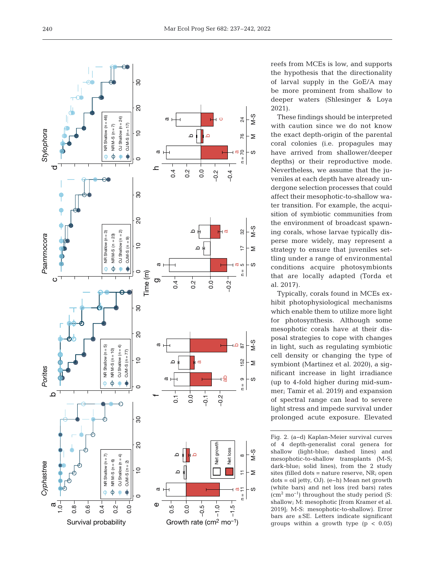

reefs from MCEs is low, and supports the hypothesis that the directionality of larval supply in the GoE/A may be more prominent from shallow to deeper waters (Shlesinger & Loya 2021).

These findings should be interpreted with caution since we do not know the exact depth-origin of the parental coral colonies (i.e. propagules may have arrived from shallower/deeper depths) or their reproductive mode. Nevertheless, we assume that the juveniles at each depth have already undergone selection processes that could affect their mesophotic-to-shallow water transition. For example, the acquisition of symbiotic communities from the environment of broadcast spawning corals, whose larvae typically disperse more widely, may represent a strategy to ensure that juveniles settling under a range of environmental conditions acquire photosymbionts that are locally adapted (Torda et al. 2017).

Typically, corals found in MCEs exhibit photophysiological mechanisms which enable them to utilize more light for photosynthesis. Although some mesophotic corals have at their disposal strategies to cope with changes in light, such as regulating symbiotic cell density or changing the type of symbiont (Martinez et al. 2020), a significant increase in light irradiance (up to 4-fold higher during mid-summer; Tamir et al. 2019) and expansion of spectral range can lead to severe light stress and impede survival under prolonged acute exposure. Elevated

Fig. 2. (a−d) Kaplan-Meier survival curves of 4 depth-generalist coral genera for shallow (light-blue; dashed lines) and mesophotic-to-shallow transplants (M-S; dark-blue; solid lines), from the 2 study sites (filled dots = nature reserve, NR; open dots = oil jetty, OJ). (e−h) Mean net growth (white bars) and net loss (red bars) rates  $(cm<sup>2</sup> mo<sup>-1</sup>)$  throughout the study period (S: shallow; M: mesophotic [from Kramer et al. 2019]; M-S: mesophotic-to-shallow). Error bars are ±SE. Letters indicate significant groups within a growth type  $(p < 0.05)$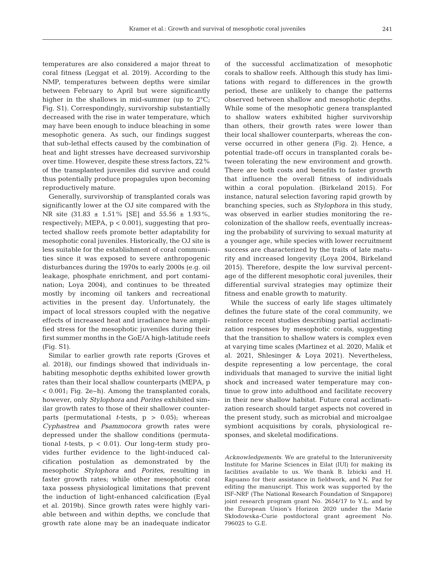temperatures are also considered a major threat to coral fitness (Leggat et al. 2019). According to the NMP, temperatures between depths were similar between February to April but were significantly higher in the shallows in mid-summer (up to  $2^{\circ}C_i$ ) Fig. S1). Correspondingly, survivorship substantially decreased with the rise in water temperature, which may have been enough to induce bleaching in some mesophotic genera. As such, our findings suggest that sub-lethal effects caused by the combination of heat and light stresses have decreased survivorship over time. However, despite these stress factors, 22% of the transplanted juveniles did survive and could thus potentially produce propagules upon becoming reproductively mature.

Generally, survivorship of transplanted corals was significantly lower at the OJ site compared with the NR site (31.83 ± 1.51% [SE] and 55.56 ± 1.93%, respectively; MEPA,  $p < 0.001$ ), suggesting that protected shallow reefs promote better adaptability for mesophotic coral juveniles. Historically, the OJ site is less suitable for the establishment of coral communities since it was exposed to severe anthropogenic disturbances during the 1970s to early 2000s (e.g. oil leakage, phosphate enrichment, and port contamination; Loya 2004), and continues to be threated mostly by incoming oil tankers and recreational activities in the present day. Unfortunately, the impact of local stressors coupled with the negative effects of increased heat and irradiance have amplified stress for the mesophotic juveniles during their first summer months in the GoE/A high-latitude reefs (Fig. S1).

Similar to earlier growth rate reports (Groves et al. 2018), our findings showed that individuals in habiting mesophotic depths exhibited lower growth rates than their local shallow counterparts (MEPA, p < 0.001; Fig. 2e−h). Among the transplanted corals, however, only *Stylophora* and *Porites* exhibited similar growth rates to those of their shallower counterparts (permutational *t*-tests, p > 0.05); whereas *Cyphastrea* and *Psammocora* growth rates were depressed under the shallow conditions (permutational *t*-tests, p < 0.01). Our long-term study provides further evidence to the light-induced calcification postulation as demonstrated by the mesophotic *Stylophora* and *Porites*, resulting in faster growth rates; while other mesophotic coral taxa possess physiological limitations that prevent the induction of light-enhanced calcification (Eyal et al. 2019b). Since growth rates were highly variable between and within depths, we conclude that growth rate alone may be an inadequate indicator of the successful acclimatization of mesophotic corals to shallow reefs. Although this study has limitations with regard to differences in the growth period, these are unlikely to change the patterns observed between shallow and mesophotic depths. While some of the mesophotic genera transplanted to shallow waters exhibited higher survivorship than others, their growth rates were lower than their local shallower counterparts, whereas the converse occurred in other genera (Fig. 2). Hence, a potential trade-off occurs in transplanted corals be tween tolerating the new environment and growth. There are both costs and benefits to faster growth that influence the overall fitness of individuals within a coral population. (Birkeland 2015). For instance, natural selection favoring rapid growth by branching species, such as *Stylophora* in this study, was observed in earlier studies monitoring the recolonization of the shallow reefs, eventually increasing the probability of surviving to sexual maturity at a younger age, while species with lower recruitment success are characterized by the traits of late maturity and increased longevity (Loya 2004, Birkeland 2015). Therefore, despite the low survival percentage of the different mesophotic coral juveniles, their differential survival strategies may optimize their fitness and enable growth to maturity.

While the success of early life stages ultimately defines the future state of the coral community, we reinforce recent studies describing partial acclimatization responses by mesophotic corals, suggesting that the transition to shallow waters is complex even at varying time scales (Martinez et al. 2020, Malik et al. 2021, Shlesinger & Loya 2021). Nevertheless, despite representing a low percentage, the coral individuals that managed to survive the initial light shock and increased water temperature may continue to grow into adulthood and facilitate recovery in their new shallow habitat. Future coral acclimatization research should target aspects not covered in the present study, such as microbial and microalgae symbiont acquisitions by corals, physiological responses, and skeletal modifications.

*Acknowledgements*. We are grateful to the Interuniversity Institute for Marine Sciences in Eilat (IUI) for making its facilities available to us. We thank B. Izbicki and H. Rapuano for their assistance in fieldwork, and N. Paz for editing the manuscript. This work was supported by the ISF-NRF (The National Research Foundation of Singapore) joint research program grant No. 2654/17 to Y.L. and by the European Union's Horizon 2020 under the Marie Skłodowska-Curie postdoctoral grant agreement No. 796025 to G.E.